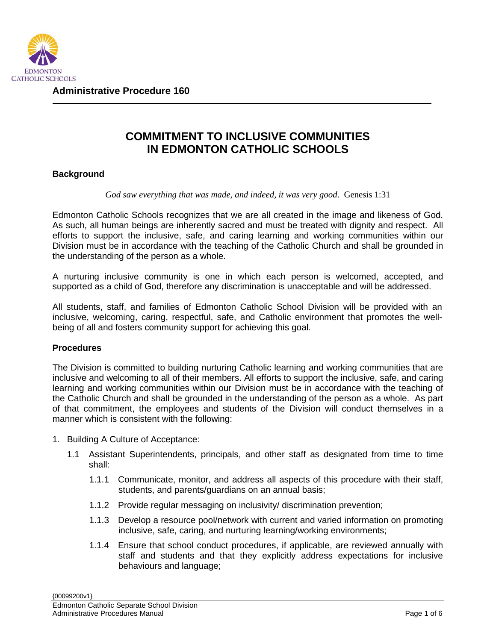

**Administrative Procedure 160**

## **COMMITMENT TO INCLUSIVE COMMUNITIES IN EDMONTON CATHOLIC SCHOOLS**

## **Background**

*God saw everything that was made, and indeed, it was very good*. Genesis 1:31

Edmonton Catholic Schools recognizes that we are all created in the image and likeness of God. As such, all human beings are inherently sacred and must be treated with dignity and respect. All efforts to support the inclusive, safe, and caring learning and working communities within our Division must be in accordance with the teaching of the Catholic Church and shall be grounded in the understanding of the person as a whole.

A nurturing inclusive community is one in which each person is welcomed, accepted, and supported as a child of God, therefore any discrimination is unacceptable and will be addressed.

All students, staff, and families of Edmonton Catholic School Division will be provided with an inclusive, welcoming, caring, respectful, safe, and Catholic environment that promotes the wellbeing of all and fosters community support for achieving this goal.

## **Procedures**

The Division is committed to building nurturing Catholic learning and working communities that are inclusive and welcoming to all of their members. All efforts to support the inclusive, safe, and caring learning and working communities within our Division must be in accordance with the teaching of the Catholic Church and shall be grounded in the understanding of the person as a whole. As part of that commitment, the employees and students of the Division will conduct themselves in a manner which is consistent with the following:

- 1. Building A Culture of Acceptance:
	- 1.1 Assistant Superintendents, principals, and other staff as designated from time to time shall:
		- 1.1.1 Communicate, monitor, and address all aspects of this procedure with their staff, students, and parents/guardians on an annual basis;
		- 1.1.2 Provide regular messaging on inclusivity/ discrimination prevention;
		- 1.1.3 Develop a resource pool/network with current and varied information on promoting inclusive, safe, caring, and nurturing learning/working environments;
		- 1.1.4 Ensure that school conduct procedures, if applicable, are reviewed annually with staff and students and that they explicitly address expectations for inclusive behaviours and language;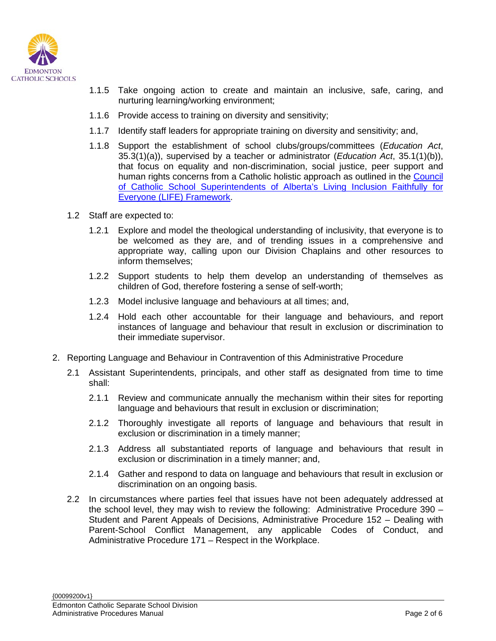

- 1.1.5 Take ongoing action to create and maintain an inclusive, safe, caring, and nurturing learning/working environment;
- 1.1.6 Provide access to training on diversity and sensitivity;
- 1.1.7 Identify staff leaders for appropriate training on diversity and sensitivity; and,
- 1.1.8 Support the establishment of school clubs/groups/committees (*Education Act*, 35.3(1)(a)), supervised by a teacher or administrator (*Education Act*, 35.1(1)(b)), that focus on equality and non-discrimination, social justice, peer support and human rights concerns from a Catholic holistic approach as outlined in the [Council](https://www.ccssa.ca/public/download/documents/48764)  [of Catholic School Superintendents of Alberta's Living Inclusion Faithfully for](https://www.ccssa.ca/public/download/documents/48764)  [Everyone \(LIFE\) Framework.](https://www.ccssa.ca/public/download/documents/48764)
- 1.2 Staff are expected to:
	- 1.2.1 Explore and model the theological understanding of inclusivity, that everyone is to be welcomed as they are, and of trending issues in a comprehensive and appropriate way, calling upon our Division Chaplains and other resources to inform themselves;
	- 1.2.2 Support students to help them develop an understanding of themselves as children of God, therefore fostering a sense of self-worth;
	- 1.2.3 Model inclusive language and behaviours at all times; and,
	- 1.2.4 Hold each other accountable for their language and behaviours, and report instances of language and behaviour that result in exclusion or discrimination to their immediate supervisor.
- 2. Reporting Language and Behaviour in Contravention of this Administrative Procedure
	- 2.1 Assistant Superintendents, principals, and other staff as designated from time to time shall:
		- 2.1.1 Review and communicate annually the mechanism within their sites for reporting language and behaviours that result in exclusion or discrimination;
		- 2.1.2 Thoroughly investigate all reports of language and behaviours that result in exclusion or discrimination in a timely manner;
		- 2.1.3 Address all substantiated reports of language and behaviours that result in exclusion or discrimination in a timely manner; and,
		- 2.1.4 Gather and respond to data on language and behaviours that result in exclusion or discrimination on an ongoing basis.
	- 2.2 In circumstances where parties feel that issues have not been adequately addressed at the school level, they may wish to review the following: Administrative Procedure 390 – Student and Parent Appeals of Decisions, Administrative Procedure 152 – Dealing with Parent-School Conflict Management, any applicable Codes of Conduct, and Administrative Procedure 171 – Respect in the Workplace.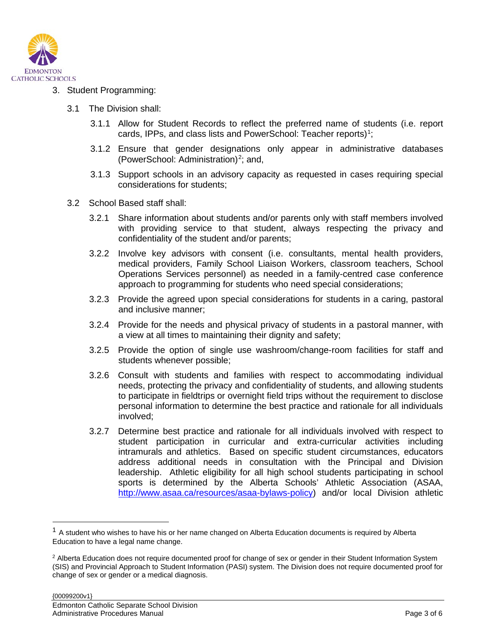

- 3. Student Programming:
	- 3.1 The Division shall:
		- 3.1.1 Allow for Student Records to reflect the preferred name of students (i.e. report cards, IPPs, and class lists and PowerSchool: Teacher reports)<sup>[1](#page-2-0)</sup>;
		- 3.1.2 Ensure that gender designations only appear in administrative databases (PowerSchool: Administration) $^2$  $^2$ ; and,
		- 3.1.3 Support schools in an advisory capacity as requested in cases requiring special considerations for students;
	- 3.2 School Based staff shall:
		- 3.2.1 Share information about students and/or parents only with staff members involved with providing service to that student, always respecting the privacy and confidentiality of the student and/or parents;
		- 3.2.2 Involve key advisors with consent (i.e. consultants, mental health providers, medical providers, Family School Liaison Workers, classroom teachers, School Operations Services personnel) as needed in a family-centred case conference approach to programming for students who need special considerations;
		- 3.2.3 Provide the agreed upon special considerations for students in a caring, pastoral and inclusive manner;
		- 3.2.4 Provide for the needs and physical privacy of students in a pastoral manner, with a view at all times to maintaining their dignity and safety;
		- 3.2.5 Provide the option of single use washroom/change-room facilities for staff and students whenever possible;
		- 3.2.6 Consult with students and families with respect to accommodating individual needs, protecting the privacy and confidentiality of students, and allowing students to participate in fieldtrips or overnight field trips without the requirement to disclose personal information to determine the best practice and rationale for all individuals involved;
		- 3.2.7 Determine best practice and rationale for all individuals involved with respect to student participation in curricular and extra-curricular activities including intramurals and athletics. Based on specific student circumstances, educators address additional needs in consultation with the Principal and Division leadership. Athletic eligibility for all high school students participating in school sports is determined by the Alberta Schools' Athletic Association (ASAA, [http://www.asaa.ca/resources/asaa-bylaws-policy\)](http://www.asaa.ca/resources/asaa-bylaws-policy) and/or local Division athletic

<span id="page-2-0"></span> $1$  A student who wishes to have his or her name changed on Alberta Education documents is required by Alberta Education to have a legal name change.

<span id="page-2-1"></span><sup>&</sup>lt;sup>2</sup> Alberta Education does not require documented proof for change of sex or gender in their Student Information System (SIS) and Provincial Approach to Student Information (PASI) system. The Division does not require documented proof for change of sex or gender or a medical diagnosis.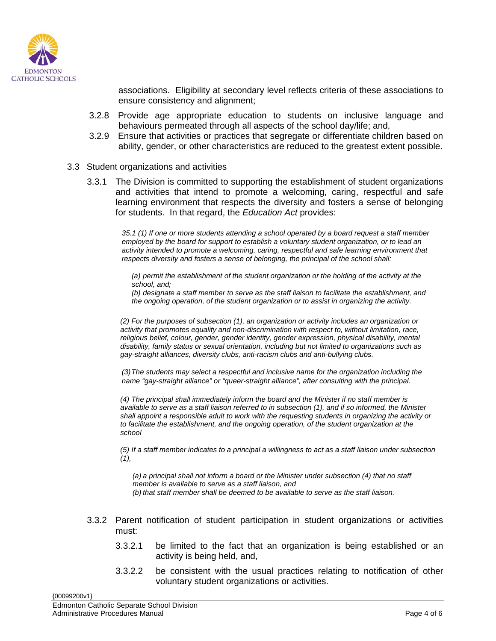

associations. Eligibility at secondary level reflects criteria of these associations to ensure consistency and alignment;

- 3.2.8 Provide age appropriate education to students on inclusive language and behaviours permeated through all aspects of the school day/life; and,
- 3.2.9 Ensure that activities or practices that segregate or differentiate children based on ability, gender, or other characteristics are reduced to the greatest extent possible.
- 3.3 Student organizations and activities
	- 3.3.1 The Division is committed to supporting the establishment of student organizations and activities that intend to promote a welcoming, caring, respectful and safe learning environment that respects the diversity and fosters a sense of belonging for students. In that regard, the *Education Act* provides:

*35.1 (1) If one or more students attending a school operated by a board request a staff member employed by the board for support to establish a voluntary student organization, or to lead an activity intended to promote a welcoming, caring, respectful and safe learning environment that respects diversity and fosters a sense of belonging, the principal of the school shall:* 

*(a) permit the establishment of the student organization or the holding of the activity at the school, and;* 

*(b) designate a staff member to serve as the staff liaison to facilitate the establishment, and the ongoing operation, of the student organization or to assist in organizing the activity.* 

*(2) For the purposes of subsection (1), an organization or activity includes an organization or activity that promotes equality and non-discrimination with respect to, without limitation, race, religious belief, colour, gender, gender identity, gender expression, physical disability, mental disability, family status or sexual orientation, including but not limited to organizations such as gay-straight alliances, diversity clubs, anti-racism clubs and anti-bullying clubs.* 

*(3)The students may select a respectful and inclusive name for the organization including the name "gay-straight alliance" or "queer-straight alliance", after consulting with the principal.* 

*(4) The principal shall immediately inform the board and the Minister if no staff member is available to serve as a staff liaison referred to in subsection (1), and if so informed, the Minister shall appoint a responsible adult to work with the requesting students in organizing the activity or to facilitate the establishment, and the ongoing operation, of the student organization at the school*

*(5) If a staff member indicates to a principal a willingness to act as a staff liaison under subsection (1),* 

*(a) a principal shall not inform a board or the Minister under subsection (4) that no staff member is available to serve as a staff liaison, and (b) that staff member shall be deemed to be available to serve as the staff liaison.* 

- 3.3.2 Parent notification of student participation in student organizations or activities must:
	- 3.3.2.1 be limited to the fact that an organization is being established or an activity is being held, and,
	- 3.3.2.2 be consistent with the usual practices relating to notification of other voluntary student organizations or activities.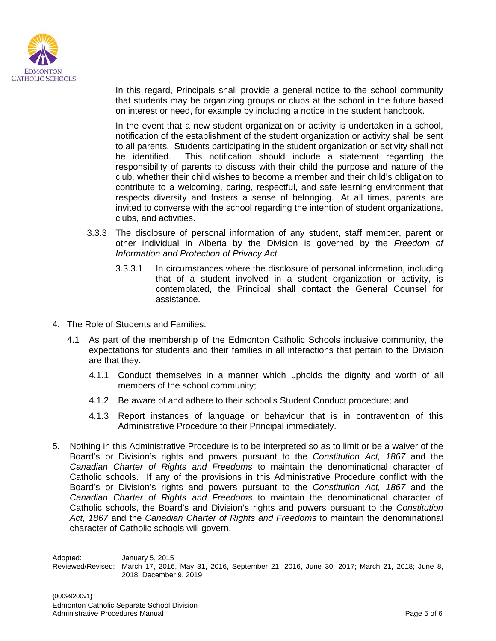

In this regard, Principals shall provide a general notice to the school community that students may be organizing groups or clubs at the school in the future based on interest or need, for example by including a notice in the student handbook.

In the event that a new student organization or activity is undertaken in a school, notification of the establishment of the student organization or activity shall be sent to all parents. Students participating in the student organization or activity shall not be identified. This notification should include a statement regarding the responsibility of parents to discuss with their child the purpose and nature of the club, whether their child wishes to become a member and their child's obligation to contribute to a welcoming, caring, respectful, and safe learning environment that respects diversity and fosters a sense of belonging. At all times, parents are invited to converse with the school regarding the intention of student organizations, clubs, and activities.

- 3.3.3 The disclosure of personal information of any student, staff member, parent or other individual in Alberta by the Division is governed by the *Freedom of Information and Protection of Privacy Act.* 
	- 3.3.3.1 In circumstances where the disclosure of personal information, including that of a student involved in a student organization or activity, is contemplated, the Principal shall contact the General Counsel for assistance.
- 4. The Role of Students and Families:
	- 4.1 As part of the membership of the Edmonton Catholic Schools inclusive community, the expectations for students and their families in all interactions that pertain to the Division are that they:
		- 4.1.1 Conduct themselves in a manner which upholds the dignity and worth of all members of the school community;
		- 4.1.2 Be aware of and adhere to their school's Student Conduct procedure; and,
		- 4.1.3 Report instances of language or behaviour that is in contravention of this Administrative Procedure to their Principal immediately.
- 5. Nothing in this Administrative Procedure is to be interpreted so as to limit or be a waiver of the Board's or Division's rights and powers pursuant to the *Constitution Act, 1867* and the *Canadian Charter of Rights and Freedoms* to maintain the denominational character of Catholic schools. If any of the provisions in this Administrative Procedure conflict with the Board's or Division's rights and powers pursuant to the *Constitution Act, 1867* and the *Canadian Charter of Rights and Freedoms* to maintain the denominational character of Catholic schools, the Board's and Division's rights and powers pursuant to the *Constitution Act, 1867* and the *Canadian Charter of Rights and Freedoms* to maintain the denominational character of Catholic schools will govern.

Adopted: January 5, 2015 Reviewed/Revised: March 17, 2016, May 31, 2016, September 21, 2016, June 30, 2017; March 21, 2018; June 8, 2018; December 9, 2019